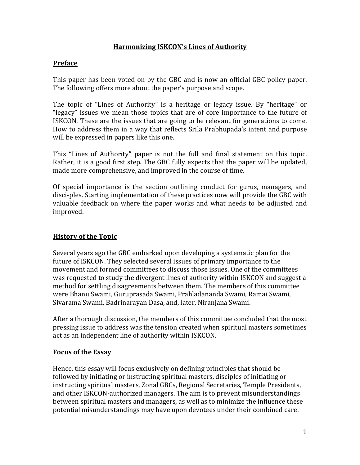## **Harmonizing ISKCON's Lines of Authority**

## **Preface**

This paper has been voted on by the GBC and is now an official GBC policy paper. The following offers more about the paper's purpose and scope.

The topic of "Lines of Authority" is a heritage or legacy issue. By "heritage" or "legacy" issues we mean those topics that are of core importance to the future of ISKCON. These are the issues that are going to be relevant for generations to come. How to address them in a way that reflects Srila Prabhupada's intent and purpose will be expressed in papers like this one.

This "Lines of Authority" paper is not the full and final statement on this topic. Rather, it is a good first step. The GBC fully expects that the paper will be updated. made more comprehensive, and improved in the course of time.

Of special importance is the section outlining conduct for gurus, managers, and disci-ples. Starting implementation of these practices now will provide the GBC with valuable feedback on where the paper works and what needs to be adjusted and improved.

## **History of the Topic**

Several years ago the GBC embarked upon developing a systematic plan for the future of ISKCON. They selected several issues of primary importance to the movement and formed committees to discuss those issues. One of the committees was requested to study the divergent lines of authority within ISKCON and suggest a method for settling disagreements between them. The members of this committee were Bhanu Swami, Guruprasada Swami, Prahladananda Swami, Ramai Swami, Sivarama Swami, Badrinarayan Dasa, and, later, Niranjana Swami.

After a thorough discussion, the members of this committee concluded that the most pressing issue to address was the tension created when spiritual masters sometimes act as an independent line of authority within ISKCON.

#### **Focus of the Essay**

Hence, this essay will focus exclusively on defining principles that should be followed by initiating or instructing spiritual masters, disciples of initiating or instructing spiritual masters, Zonal GBCs, Regional Secretaries, Temple Presidents, and other ISKCON-authorized managers. The aim is to prevent misunderstandings between spiritual masters and managers, as well as to minimize the influence these potential misunderstandings may have upon devotees under their combined care.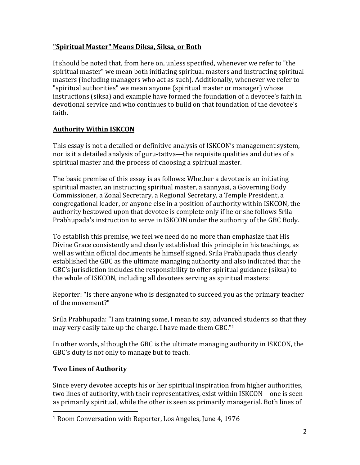## **"Spiritual Master" Means Diksa, Siksa, or Both**

It should be noted that, from here on, unless specified, whenever we refer to "the spiritual master" we mean both initiating spiritual masters and instructing spiritual masters (including managers who act as such). Additionally, whenever we refer to "spiritual authorities" we mean anyone (spiritual master or manager) whose instructions (siksa) and example have formed the foundation of a devotee's faith in devotional service and who continues to build on that foundation of the devotee's faith.

# **Authority Within ISKCON**

This essay is not a detailed or definitive analysis of ISKCON's management system, nor is it a detailed analysis of guru-tattva—the requisite qualities and duties of a spiritual master and the process of choosing a spiritual master.

The basic premise of this essay is as follows: Whether a devotee is an initiating spiritual master, an instructing spiritual master, a sannyasi, a Governing Body Commissioner, a Zonal Secretary, a Regional Secretary, a Temple President, a congregational leader, or anyone else in a position of authority within ISKCON, the authority bestowed upon that devotee is complete only if he or she follows Srila Prabhupada's instruction to serve in ISKCON under the authority of the GBC Body.

To establish this premise, we feel we need do no more than emphasize that His Divine Grace consistently and clearly established this principle in his teachings, as well as within official documents he himself signed. Srila Prabhupada thus clearly established the GBC as the ultimate managing authority and also indicated that the GBC's jurisdiction includes the responsibility to offer spiritual guidance (siksa) to the whole of ISKCON, including all devotees serving as spiritual masters:

Reporter: "Is there anyone who is designated to succeed you as the primary teacher of the movement?"

Srila Prabhupada: "I am training some, I mean to say, advanced students so that they may very easily take up the charge. I have made them GBC." $1$ 

In other words, although the GBC is the ultimate managing authority in ISKCON, the GBC's duty is not only to manage but to teach.

# **Two Lines of Authority**

 

Since every devotee accepts his or her spiritual inspiration from higher authorities, two lines of authority, with their representatives, exist within ISKCON—one is seen as primarily spiritual, while the other is seen as primarily managerial. Both lines of

<sup>&</sup>lt;sup>1</sup> Room Conversation with Reporter, Los Angeles, June 4, 1976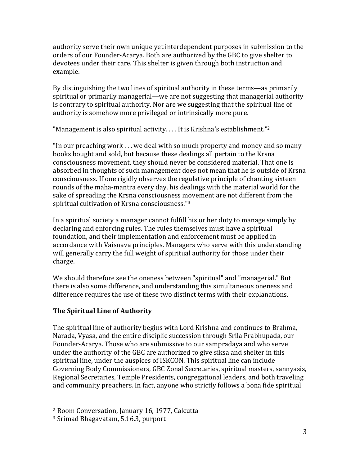authority serve their own unique yet interdependent purposes in submission to the orders of our Founder-Acarya. Both are authorized by the GBC to give shelter to devotees under their care. This shelter is given through both instruction and example.

By distinguishing the two lines of spiritual authority in these terms—as primarily spiritual or primarily managerial—we are not suggesting that managerial authority is contrary to spiritual authority. Nor are we suggesting that the spiritual line of authority is somehow more privileged or intrinsically more pure.

"Management is also spiritual activity.... It is Krishna's establishment."<sup>2</sup>

"In our preaching work  $\dots$  we deal with so much property and money and so many books bought and sold, but because these dealings all pertain to the Krsna consciousness movement, they should never be considered material. That one is absorbed in thoughts of such management does not mean that he is outside of Krsna consciousness. If one rigidly observes the regulative principle of chanting sixteen rounds of the maha-mantra every day, his dealings with the material world for the sake of spreading the Krsna consciousness movement are not different from the spiritual cultivation of Krsna consciousness."<sup>3</sup>

In a spiritual society a manager cannot fulfill his or her duty to manage simply by declaring and enforcing rules. The rules themselves must have a spiritual foundation, and their implementation and enforcement must be applied in accordance with Vaisnava principles. Managers who serve with this understanding will generally carry the full weight of spiritual authority for those under their charge.

We should therefore see the oneness between "spiritual" and "managerial." But there is also some difference, and understanding this simultaneous oneness and difference requires the use of these two distinct terms with their explanations.

# **The Spiritual Line of Authority**

The spiritual line of authority begins with Lord Krishna and continues to Brahma, Narada, Vyasa, and the entire disciplic succession through Srila Prabhupada, our Founder-Acarya. Those who are submissive to our sampradaya and who serve under the authority of the GBC are authorized to give siksa and shelter in this spiritual line, under the auspices of ISKCON. This spiritual line can include Governing Body Commissioners, GBC Zonal Secretaries, spiritual masters, sannyasis, Regional Secretaries, Temple Presidents, congregational leaders, and both traveling and community preachers. In fact, anyone who strictly follows a bona fide spiritual

 

<sup>&</sup>lt;sup>2</sup> Room Conversation, January 16, 1977, Calcutta

<sup>&</sup>lt;sup>3</sup> Srimad Bhagavatam, 5.16.3, purport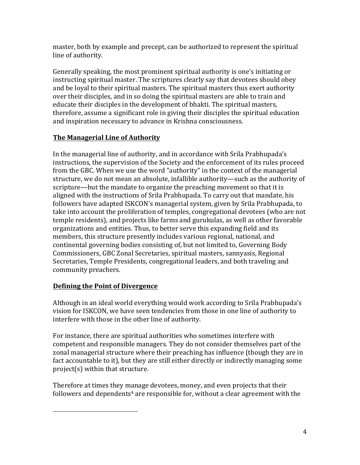master, both by example and precept, can be authorized to represent the spiritual line of authority.

Generally speaking, the most prominent spiritual authority is one's initiating or instructing spiritual master. The scriptures clearly say that devotees should obey and be loyal to their spiritual masters. The spiritual masters thus exert authority over their disciples, and in so doing the spiritual masters are able to train and educate their disciples in the development of bhakti. The spiritual masters, therefore, assume a significant role in giving their disciples the spiritual education and inspiration necessary to advance in Krishna consciousness.

# **The Managerial Line of Authority**

In the managerial line of authority, and in accordance with Srila Prabhupada's instructions, the supervision of the Society and the enforcement of its rules proceed from the GBC. When we use the word "authority" in the context of the managerial structure, we do not mean an absolute, infallible authority—such as the authority of scripture—but the mandate to organize the preaching movement so that it is aligned with the instructions of Srila Prabhupada. To carry out that mandate, his followers have adapted ISKCON's managerial system, given by Srila Prabhupada, to take into account the proliferation of temples, congregational devotees (who are not temple residents), and projects like farms and gurukulas, as well as other favorable organizations and entities. Thus, to better serve this expanding field and its members, this structure presently includes various regional, national, and continental governing bodies consisting of, but not limited to, Governing Body Commissioners, GBC Zonal Secretaries, spiritual masters, sannyasis, Regional Secretaries, Temple Presidents, congregational leaders, and both traveling and community preachers.

## **Defining the Point of Divergence**

 

Although in an ideal world everything would work according to Srila Prabhupada's vision for ISKCON, we have seen tendencies from those in one line of authority to interfere with those in the other line of authority.

For instance, there are spiritual authorities who sometimes interfere with competent and responsible managers. They do not consider themselves part of the zonal managerial structure where their preaching has influence (though they are in fact accountable to it), but they are still either directly or indirectly managing some  $project(s)$  within that structure.

Therefore at times they manage devotees, money, and even projects that their followers and dependents<sup>4</sup> are responsible for, without a clear agreement with the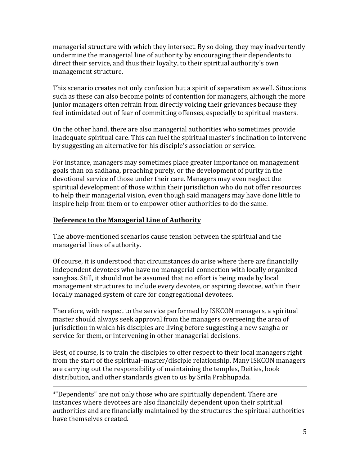managerial structure with which they intersect. By so doing, they may inadvertently undermine the managerial line of authority by encouraging their dependents to direct their service, and thus their loyalty, to their spiritual authority's own management structure.

This scenario creates not only confusion but a spirit of separatism as well. Situations such as these can also become points of contention for managers, although the more junior managers often refrain from directly voicing their grievances because they feel intimidated out of fear of committing offenses, especially to spiritual masters.

On the other hand, there are also managerial authorities who sometimes provide inadequate spiritual care. This can fuel the spiritual master's inclination to intervene by suggesting an alternative for his disciple's association or service.

For instance, managers may sometimes place greater importance on management goals than on sadhana, preaching purely, or the development of purity in the devotional service of those under their care. Managers may even neglect the spiritual development of those within their jurisdiction who do not offer resources to help their managerial vision, even though said managers may have done little to inspire help from them or to empower other authorities to do the same.

### **Deference to the Managerial Line of Authority**

The above-mentioned scenarios cause tension between the spiritual and the managerial lines of authority.

Of course, it is understood that circumstances do arise where there are financially independent devotees who have no managerial connection with locally organized sanghas. Still, it should not be assumed that no effort is being made by local management structures to include every devotee, or aspiring devotee, within their locally managed system of care for congregational devotees.

Therefore, with respect to the service performed by ISKCON managers, a spiritual master should always seek approval from the managers overseeing the area of jurisdiction in which his disciples are living before suggesting a new sangha or service for them, or intervening in other managerial decisions.

Best, of course, is to train the disciples to offer respect to their local managers right from the start of the spiritual–master/disciple relationship. Many ISKCON managers are carrying out the responsibility of maintaining the temples, Deities, book distribution, and other standards given to us by Srila Prabhupada.

<u> 2002 - Andrea San Andrea San Andrea San Andrea San Andrea San Andrea San Andrea San Andrea San Andrea San An</u>

<sup>4</sup>"Dependents" are not only those who are spiritually dependent. There are instances where devotees are also financially dependent upon their spiritual authorities and are financially maintained by the structures the spiritual authorities have themselves created.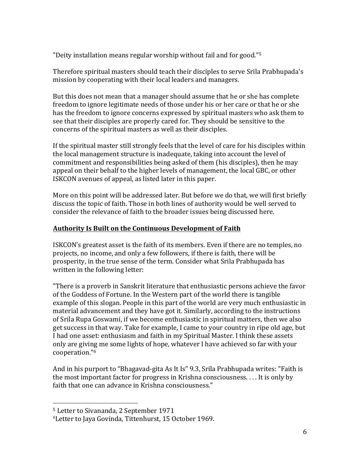"Deity installation means regular worship without fail and for good."<sup>5</sup>

Therefore spiritual masters should teach their disciples to serve Srila Prabhupada's mission by cooperating with their local leaders and managers.

But this does not mean that a manager should assume that he or she has complete freedom to ignore legitimate needs of those under his or her care or that he or she has the freedom to ignore concerns expressed by spiritual masters who ask them to see that their disciples are properly cared for. They should be sensitive to the concerns of the spiritual masters as well as their disciples.

If the spiritual master still strongly feels that the level of care for his disciples within the local management structure is inadequate, taking into account the level of commitment and responsibilities being asked of them (his disciples), then he may appeal on their behalf to the higher levels of management, the local GBC, or other ISKCON avenues of appeal, as listed later in this paper.

More on this point will be addressed later. But before we do that, we will first briefly discuss the topic of faith. Those in both lines of authority would be well served to consider the relevance of faith to the broader issues being discussed here.

### **Authority Is Built on the Continuous Development of Faith**

**ISKCON's** greatest asset is the faith of its members. Even if there are no temples, no projects, no income, and only a few followers, if there is faith, there will be prosperity, in the true sense of the term. Consider what Srila Prabhupada has written in the following letter:

"There is a proverb in Sanskrit literature that enthusiastic persons achieve the favor of the Goddess of Fortune. In the Western part of the world there is tangible example of this slogan. People in this part of the world are very much enthusiastic in material advancement and they have got it. Similarly, according to the instructions of Srila Rupa Goswami, if we become enthusiastic in spiritual matters, then we also get success in that way. Take for example, I came to your country in ripe old age, but I had one asset: enthusiasm and faith in my Spiritual Master. I think these assets only are giving me some lights of hope, whatever I have achieved so far with your cooperation."6

And in his purport to "Bhagavad-gita As It Is" 9.3, Srila Prabhupada writes: "Faith is the most important factor for progress in Krishna consciousness.  $\dots$  It is only by faith that one can advance in Krishna consciousness."

 

<sup>&</sup>lt;sup>5</sup> Letter to Sivananda, 2 September 1971

<sup>&</sup>lt;sup>6</sup> Letter to Jaya Govinda, Tittenhurst, 15 October 1969.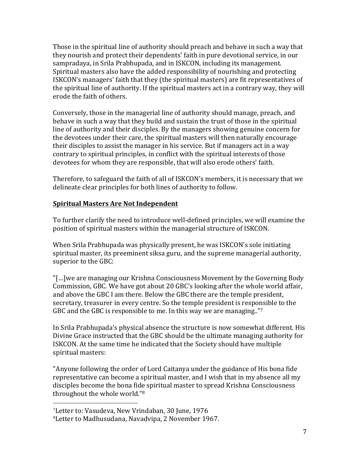Those in the spiritual line of authority should preach and behave in such a way that they nourish and protect their dependents' faith in pure devotional service, in our sampradaya, in Srila Prabhupada, and in ISKCON, including its management. Spiritual masters also have the added responsibility of nourishing and protecting ISKCON's managers' faith that they (the spiritual masters) are fit representatives of the spiritual line of authority. If the spiritual masters act in a contrary way, they will erode the faith of others.

Conversely, those in the managerial line of authority should manage, preach, and behave in such a way that they build and sustain the trust of those in the spiritual line of authority and their disciples. By the managers showing genuine concern for the devotees under their care, the spiritual masters will then naturally encourage their disciples to assist the manager in his service. But if managers act in a way contrary to spiritual principles, in conflict with the spiritual interests of those devotees for whom they are responsible, that will also erode others' faith.

Therefore, to safeguard the faith of all of ISKCON's members, it is necessary that we delineate clear principles for both lines of authority to follow.

## **Spiritual Masters Are Not Independent**

To further clarify the need to introduce well-defined principles, we will examine the position of spiritual masters within the managerial structure of ISKCON.

When Srila Prabhupada was physically present, he was ISKCON's sole initiating spiritual master, its preeminent siksa guru, and the supreme managerial authority, superior to the GBC:

"[...]we are managing our Krishna Consciousness Movement by the Governing Body Commission, GBC. We have got about 20 GBC's looking after the whole world affair, and above the GBC I am there. Below the GBC there are the temple president, secretary, treasurer in every centre. So the temple president is responsible to the GBC and the GBC is responsible to me. In this way we are managing.." $7$ 

In Srila Prabhupada's physical absence the structure is now somewhat different. His Divine Grace instructed that the GBC should be the ultimate managing authority for ISKCON. At the same time he indicated that the Society should have multiple spiritual masters:

"Anyone following the order of Lord Caitanya under the guidance of His bona fide representative can become a spiritual master, and I wish that in my absence all my disciples become the bona fide spiritual master to spread Krishna Consciousness throughout the whole world."<sup>8</sup>

 

<sup>&</sup>lt;sup>7</sup>Letter to: Vasudeva, New Vrindaban, 30 June, 1976

<sup>&</sup>lt;sup>8</sup> Letter to Madhusudana, Navadvipa, 2 November 1967.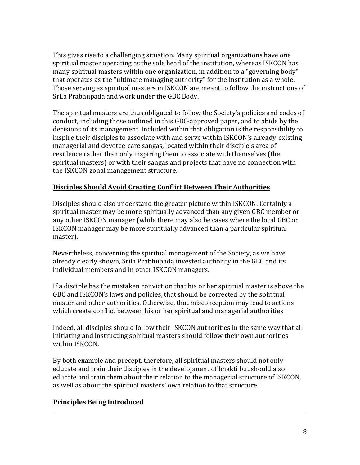This gives rise to a challenging situation. Many spiritual organizations have one spiritual master operating as the sole head of the institution, whereas ISKCON has many spiritual masters within one organization, in addition to a "governing body" that operates as the "ultimate managing authority" for the institution as a whole. Those serving as spiritual masters in ISKCON are meant to follow the instructions of Srila Prabhupada and work under the GBC Body.

The spiritual masters are thus obligated to follow the Society's policies and codes of conduct, including those outlined in this GBC-approved paper, and to abide by the decisions of its management. Included within that obligation is the responsibility to inspire their disciples to associate with and serve within ISKCON's already-existing managerial and devotee-care sangas, located within their disciple's area of residence rather than only inspiring them to associate with themselves (the spiritual masters) or with their sangas and projects that have no connection with the ISKCON zonal management structure.

## **Disciples Should Avoid Creating Conflict Between Their Authorities**

Disciples should also understand the greater picture within ISKCON. Certainly a spiritual master may be more spiritually advanced than any given GBC member or any other ISKCON manager (while there may also be cases where the local GBC or **ISKCON** manager may be more spiritually advanced than a particular spiritual master). 

Nevertheless, concerning the spiritual management of the Society, as we have already clearly shown, Srila Prabhupada invested authority in the GBC and its individual members and in other ISKCON managers.

If a disciple has the mistaken conviction that his or her spiritual master is above the GBC and ISKCON's laws and policies, that should be corrected by the spiritual master and other authorities. Otherwise, that misconception may lead to actions which create conflict between his or her spiritual and managerial authorities

Indeed, all disciples should follow their ISKCON authorities in the same way that all initiating and instructing spiritual masters should follow their own authorities within ISKCON.

By both example and precept, therefore, all spiritual masters should not only educate and train their disciples in the development of bhakti but should also educate and train them about their relation to the managerial structure of ISKCON, as well as about the spiritual masters' own relation to that structure.

<u> 2002 - Andrea San Andrea San Andrea San Andrea San Andrea San Andrea San Andrea San Andrea San Andrea San An</u>

## **Principles Being Introduced**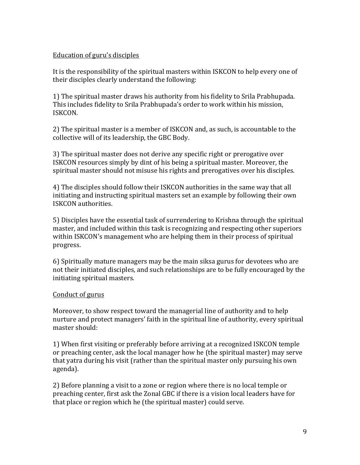#### Education of guru's disciples

It is the responsibility of the spiritual masters within ISKCON to help every one of their disciples clearly understand the following:

1) The spiritual master draws his authority from his fidelity to Srila Prabhupada. This includes fidelity to Srila Prabhupada's order to work within his mission, ISKCON.

2) The spiritual master is a member of ISKCON and, as such, is accountable to the collective will of its leadership, the GBC Body.

3) The spiritual master does not derive any specific right or prerogative over ISKCON resources simply by dint of his being a spiritual master. Moreover, the spiritual master should not misuse his rights and prerogatives over his disciples.

4) The disciples should follow their ISKCON authorities in the same way that all initiating and instructing spiritual masters set an example by following their own ISKCON authorities.

5) Disciples have the essential task of surrendering to Krishna through the spiritual master, and included within this task is recognizing and respecting other superiors within ISKCON's management who are helping them in their process of spiritual progress.

6) Spiritually mature managers may be the main siksa gurus for devotees who are not their initiated disciples, and such relationships are to be fully encouraged by the initiating spiritual masters.

#### Conduct of gurus

Moreover, to show respect toward the managerial line of authority and to help nurture and protect managers' faith in the spiritual line of authority, every spiritual master should:

1) When first visiting or preferably before arriving at a recognized ISKCON temple or preaching center, ask the local manager how he (the spiritual master) may serve that yatra during his visit (rather than the spiritual master only pursuing his own agenda).

2) Before planning a visit to a zone or region where there is no local temple or preaching center, first ask the Zonal GBC if there is a vision local leaders have for that place or region which he (the spiritual master) could serve.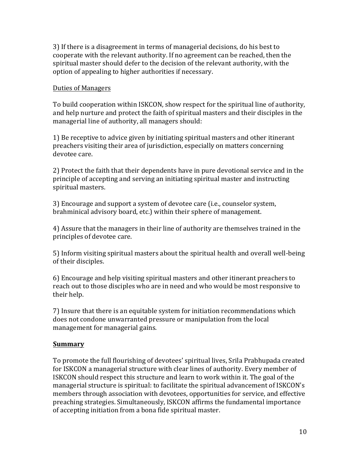3) If there is a disagreement in terms of managerial decisions, do his best to cooperate with the relevant authority. If no agreement can be reached, then the spiritual master should defer to the decision of the relevant authority, with the option of appealing to higher authorities if necessary.

#### Duties of Managers

To build cooperation within ISKCON, show respect for the spiritual line of authority, and help nurture and protect the faith of spiritual masters and their disciples in the managerial line of authority, all managers should:

1) Be receptive to advice given by initiating spiritual masters and other itinerant preachers visiting their area of jurisdiction, especially on matters concerning devotee care.

2) Protect the faith that their dependents have in pure devotional service and in the principle of accepting and serving an initiating spiritual master and instructing spiritual masters.

3) Encourage and support a system of devotee care (i.e., counselor system, brahminical advisory board, etc.) within their sphere of management.

4) Assure that the managers in their line of authority are themselves trained in the principles of devotee care.

5) Inform visiting spiritual masters about the spiritual health and overall well-being of their disciples.

6) Encourage and help visiting spiritual masters and other itinerant preachers to reach out to those disciples who are in need and who would be most responsive to their help.

7) Insure that there is an equitable system for initiation recommendations which does not condone unwarranted pressure or manipulation from the local management for managerial gains.

## **Summary**

To promote the full flourishing of devotees' spiritual lives, Srila Prabhupada created for ISKCON a managerial structure with clear lines of authority. Every member of ISKCON should respect this structure and learn to work within it. The goal of the managerial structure is spiritual: to facilitate the spiritual advancement of ISKCON's members through association with devotees, opportunities for service, and effective preaching strategies. Simultaneously, ISKCON affirms the fundamental importance of accepting initiation from a bona fide spiritual master.